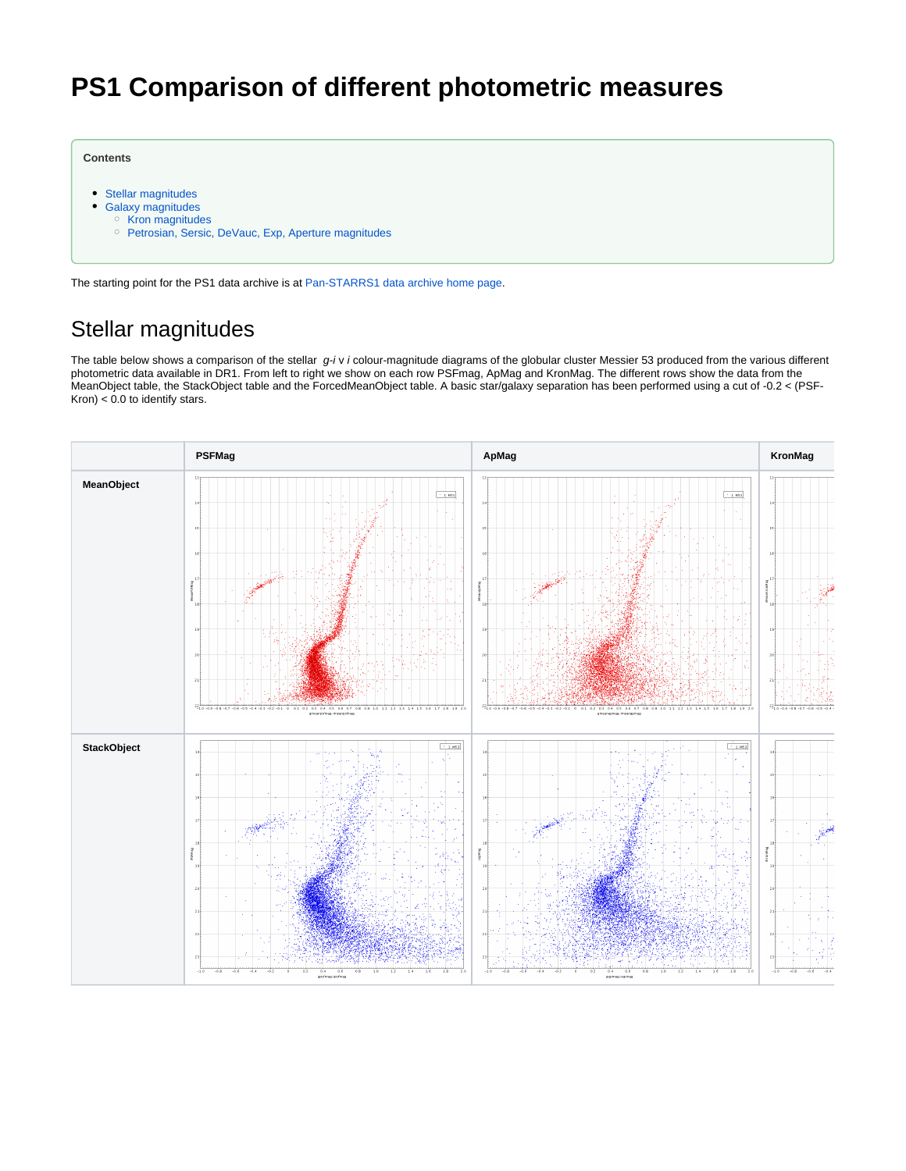# **PS1 Comparison of different photometric measures**

**Contents**

- [Stellar magnitudes](#page-0-0)
- [Galaxy magnitudes](#page-1-0)
	- <sup>o</sup> [Kron magnitudes](#page-1-1)
	- o [Petrosian, Sersic, DeVauc, Exp, Aperture magnitudes](#page-2-0)

The starting point for the PS1 data archive is at [Pan-STARRS1 data archive home page](https://outerspace.stsci.edu/display/PANSTARRS/Pan-STARRS1+data+archive+home+page).

## <span id="page-0-0"></span>Stellar magnitudes

The table below shows a comparison of the stellar  $g$ -i v i colour-magnitude diagrams of the globular cluster Messier 53 produced from the various different photometric data available in DR1. From left to right we show on each row PSFmag, ApMag and KronMag. The different rows show the data from the MeanObject table, the StackObject table and the ForcedMeanObject table. A basic star/galaxy separation has been performed using a cut of -0.2 < (PSF-Kron)  $< 0.0$  to identify stars.

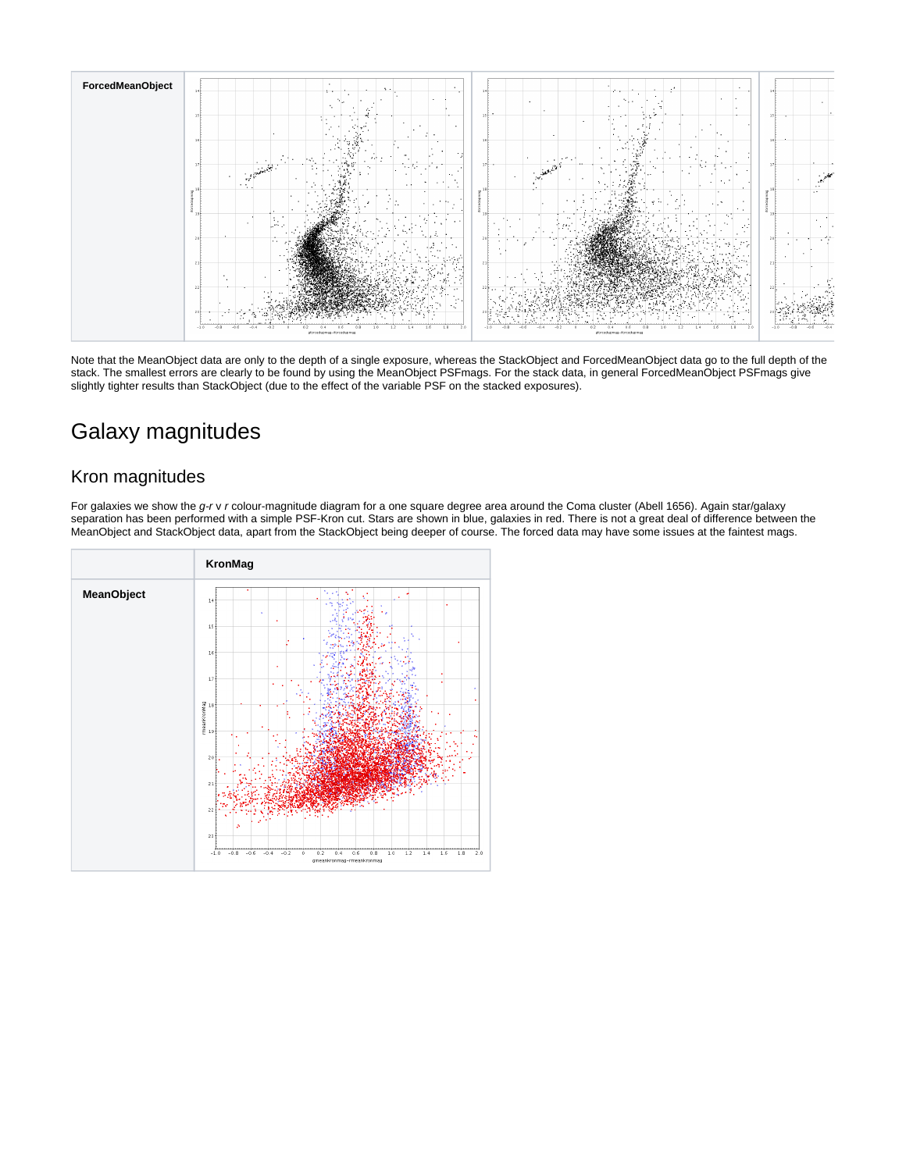

Note that the MeanObject data are only to the depth of a single exposure, whereas the StackObject and ForcedMeanObject data go to the full depth of the stack. The smallest errors are clearly to be found by using the MeanObject PSFmags. For the stack data, in general ForcedMeanObject PSFmags give slightly tighter results than StackObject (due to the effect of the variable PSF on the stacked exposures).

### <span id="page-1-0"></span>Galaxy magnitudes

### <span id="page-1-1"></span>Kron magnitudes

For galaxies we show the g-r v r colour-magnitude diagram for a one square degree area around the Coma cluster (Abell 1656). Again star/galaxy separation has been performed with a simple PSF-Kron cut. Stars are shown in blue, galaxies in red. There is not a great deal of difference between the MeanObject and StackObject data, apart from the StackObject being deeper of course. The forced data may have some issues at the faintest mags.

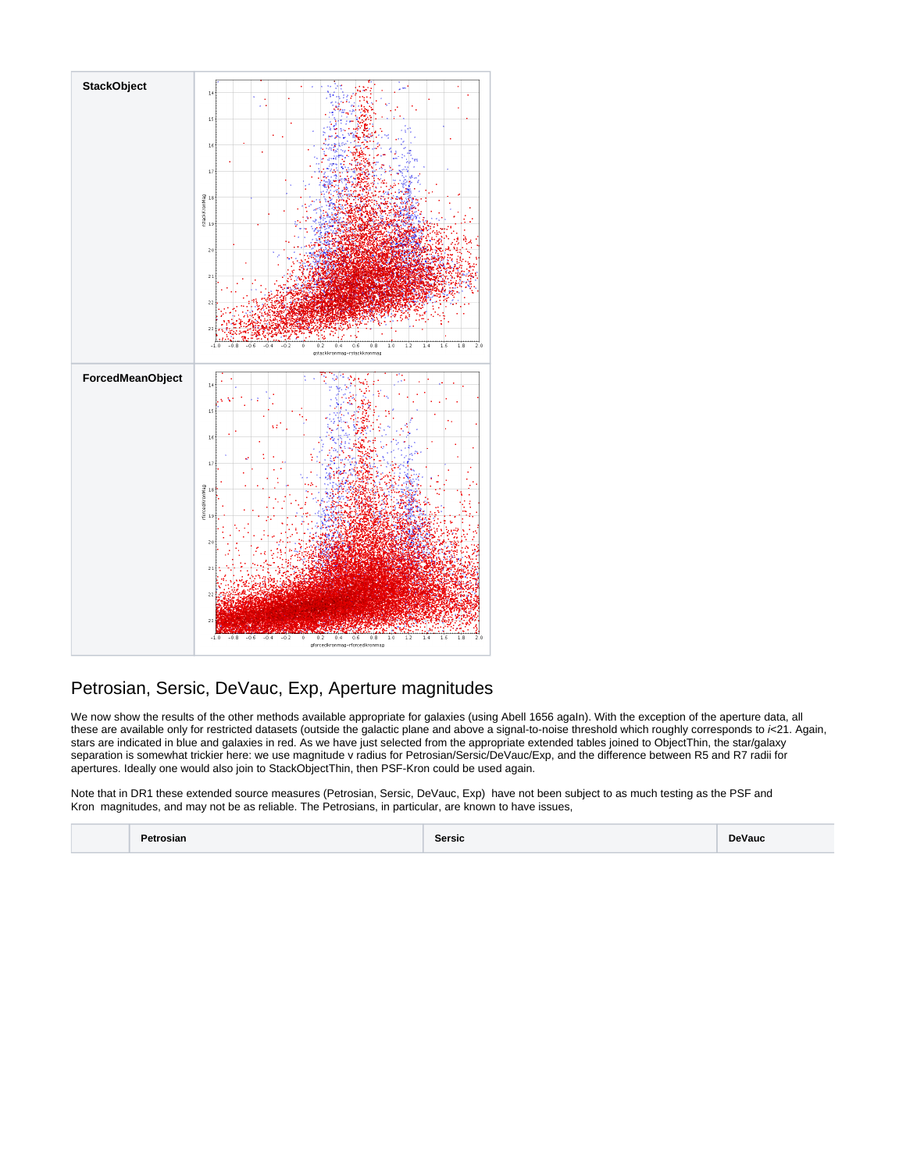

### <span id="page-2-0"></span>Petrosian, Sersic, DeVauc, Exp, Aperture magnitudes

We now show the results of the other methods available appropriate for galaxies (using Abell 1656 agaIn). With the exception of the aperture data, all these are available only for restricted datasets (outside the galactic plane and above a signal-to-noise threshold which roughly corresponds to  $k21$ . Again, stars are indicated in blue and galaxies in red. As we have just selected from the appropriate extended tables joined to ObjectThin, the star/galaxy separation is somewhat trickier here: we use magnitude v radius for Petrosian/Sersic/DeVauc/Exp, and the difference between R5 and R7 radii for apertures. Ideally one would also join to StackObjectThin, then PSF-Kron could be used again.

Note that in DR1 these extended source measures (Petrosian, Sersic, DeVauc, Exp) have not been subject to as much testing as the PSF and Kron magnitudes, and may not be as reliable. The Petrosians, in particular, are known to have issues,

**Petrosian Sersic DeVauc**